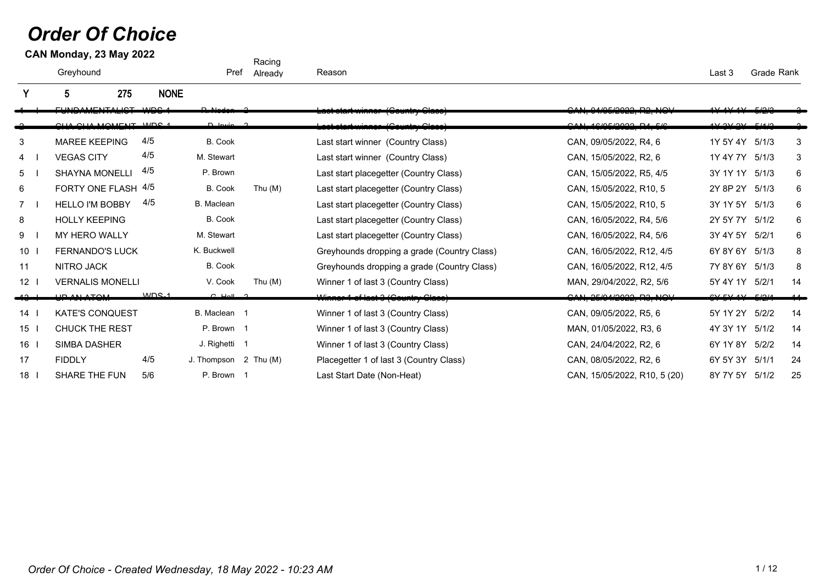## *Order Of Choice*

|                | CAN Monday, 23 May 2022         |                  |                       | Racing    |                                             |                                                          |                              |            |    |
|----------------|---------------------------------|------------------|-----------------------|-----------|---------------------------------------------|----------------------------------------------------------|------------------------------|------------|----|
|                | Greyhound                       |                  | Pref                  | Already   | Reason                                      |                                                          | Last 3                       | Grade Rank |    |
|                | 275<br>5                        | <b>NONE</b>      |                       |           |                                             |                                                          |                              |            |    |
|                | <b>CURIO AMERITALIOT MIDO 4</b> |                  |                       |           | Laut utant winnium (Obama y Orado)          | AUSE 1999 PO HOL<br>1, 0 1/00/ <del>4044, 114, 110</del> |                              |            |    |
|                | CUA CUA MOMENT MOC 1            |                  | $D$ $lnu$ $2$         |           | Loot atast winner (Country Close)           | CAN 1C/0E/2022R 14E/2                                    | 4V 2V 2V 2V 1514/2           |            |    |
| 3              | <b>MAREE KEEPING</b>            | 4/5              | B. Cook               |           | Last start winner (Country Class)           | CAN, 09/05/2022, R4, 6                                   | 1Y 5Y 4Y 5/1/3               |            | 3  |
| 4              | <b>VEGAS CITY</b>               | 4/5              | M. Stewart            |           | Last start winner (Country Class)           | CAN, 15/05/2022, R2, 6                                   | 1Y 4Y 7Y                     | 5/1/3      | 3  |
| 5              | <b>SHAYNA MONELLI</b>           | 4/5              | P. Brown              |           | Last start placegetter (Country Class)      | CAN, 15/05/2022, R5, 4/5                                 | 3Y 1Y 1Y                     | 5/1/3      | 6  |
| 6              | FORTY ONE FLASH 4/5             |                  | B. Cook               | Thu $(M)$ | Last start placegetter (Country Class)      | CAN, 15/05/2022, R10, 5                                  | 2Y 8P 2Y                     | 5/1/3      | 6  |
| $\overline{7}$ | <b>HELLO I'M BOBBY</b>          | 4/5              | B. Maclean            |           | Last start placegetter (Country Class)      | CAN, 15/05/2022, R10, 5                                  | 3Y 1Y 5Y                     | 5/1/3      | 6  |
| 8              | <b>HOLLY KEEPING</b>            |                  | B. Cook               |           | Last start placegetter (Country Class)      | CAN, 16/05/2022, R4, 5/6                                 | 2Y 5Y 7Y                     | 5/1/2      | 6  |
| 9              | <b>MY HERO WALLY</b>            |                  | M. Stewart            |           | Last start placegetter (Country Class)      | CAN, 16/05/2022, R4, 5/6                                 | 3Y 4Y 5Y                     | 5/2/1      | 6  |
| 10             | <b>FERNANDO'S LUCK</b>          |                  | K. Buckwell           |           | Greyhounds dropping a grade (Country Class) | CAN, 16/05/2022, R12, 4/5                                | 6Y 8Y 6Y                     | 5/1/3      | 8  |
| 11             | NITRO JACK                      |                  | B. Cook               |           | Greyhounds dropping a grade (Country Class) | CAN, 16/05/2022, R12, 4/5                                | 7Y 8Y 6Y                     | 5/1/3      | 8  |
| 12             | <b>VERNALIS MONELLI</b>         |                  | V. Cook               | Thu $(M)$ | Winner 1 of last 3 (Country Class)          | MAN, 29/04/2022, R2, 5/6                                 | 5Y 4Y 1Y                     | 5/2/1      | 14 |
|                | <b>UD ANLATOM</b>               | MDC <sub>1</sub> | $C$ that $C$          |           | Winner 1 of last 3 (Country Class)          | OMI 2FIAI 2022 22 M1                                     | $CVI$ $CVI$ $AVI$ $EIO$ $IA$ |            |    |
| 14             | <b>KATE'S CONQUEST</b>          |                  | B. Maclean 1          |           | Winner 1 of last 3 (Country Class)          | CAN, 09/05/2022, R5, 6                                   | 5Y 1Y 2Y                     | 5/2/2      | 14 |
| 15             | <b>CHUCK THE REST</b>           |                  | P. Brown 1            |           | Winner 1 of last 3 (Country Class)          | MAN, 01/05/2022, R3, 6                                   | 4Y 3Y 1Y                     | 5/1/2      | 14 |
| 16             | <b>SIMBA DASHER</b>             |                  | J. Righetti 1         |           | Winner 1 of last 3 (Country Class)          | CAN, 24/04/2022, R2, 6                                   | 6Y 1Y 8Y                     | 5/2/2      | 14 |
| 17             | <b>FIDDLY</b>                   | 4/5              | J. Thompson 2 Thu (M) |           | Placegetter 1 of last 3 (Country Class)     | CAN, 08/05/2022, R2, 6                                   | 6Y 5Y 3Y                     | 5/1/1      | 24 |
| 18             | SHARE THE FUN                   | 5/6              | P. Brown 1            |           | Last Start Date (Non-Heat)                  | CAN, 15/05/2022, R10, 5 (20)                             | 8Y 7Y 5Y 5/1/2               |            | 25 |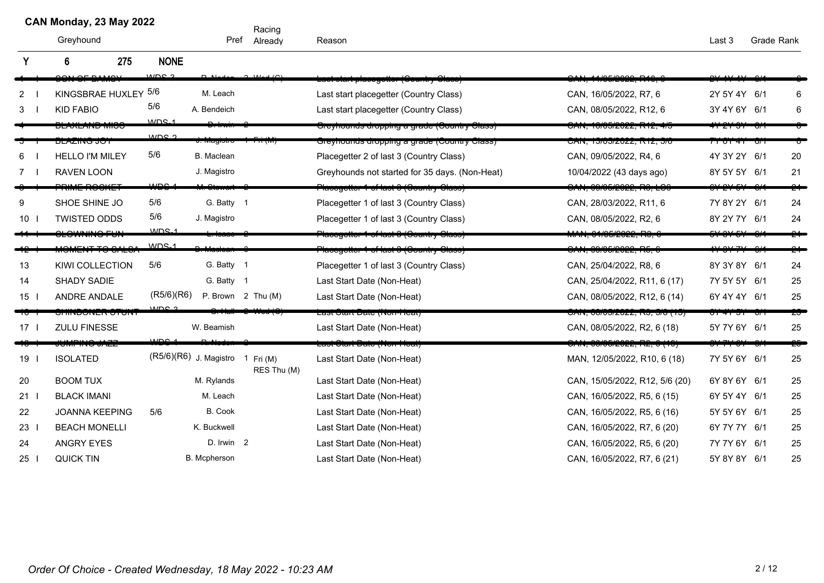## **CAN Monday, 23 May 2022**

Racing Pref Already

|                 | 275<br>6               | <b>NONE</b>      |                                  |                                 |                                                    |                                        |                             |     |     |
|-----------------|------------------------|------------------|----------------------------------|---------------------------------|----------------------------------------------------|----------------------------------------|-----------------------------|-----|-----|
|                 | OMO                    | MDC <sub>2</sub> | $D$ Made                         | $2 M \sim (C)$                  | <u> Laot otant placegotter (Gountry Glace</u>      | AAIOFIOOOO DAQ                         |                             |     |     |
| $\mathbf{2}$    | KINGSBRAE HUXLEY 5/6   |                  | M. Leach                         |                                 | Last start placegetter (Country Class)             | CAN, 16/05/2022, R7, 6                 | 2Y 5Y 4Y 6/1                |     | 6   |
| 3               | <b>KID FABIO</b>       | 5/6              | A. Bendeich                      |                                 | Last start placegetter (Country Class)             | CAN, 08/05/2022, R12, 6                | 3Y 4Y 6Y 6/1                |     | 6   |
|                 | סטווען עוזון דווא דוק  | $MDS_1$          |                                  |                                 | Orcyhoands dropping a grade (Oountry Olass)        | <del>DAN, 10/05/2022, R12, 4</del>     |                             |     |     |
|                 | ד טט טאווברום          | MDC <sub>2</sub> | <del>u. mayıonu</del>            |                                 | Greyhounds dropping a grade (Country Class)        | טאיג, וואס בערייל, וואס                | 7 T U T <del>4</del> T      | ਯਾ  |     |
|                 | <b>HELLO I'M MILEY</b> | 5/6              | B. Maclean                       |                                 | Placegetter 2 of last 3 (Country Class)            | CAN, 09/05/2022, R4, 6                 | 4Y 3Y 2Y 6/1                |     | 20  |
|                 | <b>RAVEN LOON</b>      |                  | J. Magistro                      |                                 | Greyhounds not started for 35 days. (Non-Heat)     | 10/04/2022 (43 days ago)               | 8Y 5Y 5Y 6/1                |     | 21  |
|                 | <b>TWINE ROOME</b>     | $\overline{AB}$  |                                  |                                 | <u> Placegetter 1 of last 9 (Gountry Glass).</u>   | . <del>CAN, 09/05/2022, RS, LS</del> 6 | <del>, 21 J J</del>         |     |     |
| 9               | SHOE SHINE JO          | 5/6              | G. Batty 1                       |                                 | Placegetter 1 of last 3 (Country Class)            | CAN, 28/03/2022, R11, 6                | 7Y 8Y 2Y 6/1                |     | 24  |
| $10$            | <b>TWISTED ODDS</b>    | 5/6              | J. Magistro                      |                                 | Placegetter 1 of last 3 (Country Class)            | CAN, 08/05/2022, R2, 6                 | 8Y 2Y 7Y 6/1                |     | 24  |
|                 |                        | MDC <sub>1</sub> |                                  |                                 | <u> Taccgottor Tiot Tast O (Oountry Olass)</u>     | 111.91199179777711997                  |                             |     |     |
|                 |                        | $MDS-1$          |                                  |                                 | <del>'laccgetter 1 of last 8 (Ocantry Olass)</del> | <del>\N, 09/05/2022, R5, 0</del>       |                             |     |     |
| 13              | <b>KIWI COLLECTION</b> | 5/6              | G. Batty 1                       |                                 | Placegetter 1 of last 3 (Country Class)            | CAN, 25/04/2022, R8, 6                 | 8Y 3Y 8Y 6/1                |     | 24  |
| 14              | SHADY SADIE            |                  | G. Batty 1                       |                                 | Last Start Date (Non-Heat)                         | CAN, 25/04/2022, R11, 6 (17)           | 7Y 5Y 5Y 6/1                |     | 25  |
| 15 <sup>1</sup> | <b>ANDRE ANDALE</b>    | (R5/6)(R6)       |                                  | P. Brown $2$ Thu (M)            | Last Start Date (Non-Heat)                         | CAN, 08/05/2022, R12, 6 (14)           | 6Y 4Y 4Y 6/1                |     | 25  |
|                 | דמוט דס מבומוסטמות וכ  | م عمسا           |                                  | $\overline{\mathbf{v}}$ uditori | Last Start Date (Non-Heat)                         | <u>CAN, 00/05/2022, RS, 5/0 (15)</u>   | <u>ו שרכו<del>ד</del>וט</u> |     | 25  |
| $17-1$          | <b>ZULU FINESSE</b>    |                  | W. Beamish                       |                                 | Last Start Date (Non-Heat)                         | CAN, 08/05/2022, R2, 6 (18)            | 5Y 7Y 6Y 6/1                |     | 25  |
|                 | <del>UMPING JAZZ</del> | ے صری            |                                  |                                 | <del>Last Glart Dale (Non-Heal)</del>              | <del>OAN, 00/05/2022, R2, 0 (19)</del> |                             |     | -25 |
| 19              | <b>ISOLATED</b>        |                  | (R5/6)(R6) J. Magistro 1 Fri (M) | RES Thu (M)                     | Last Start Date (Non-Heat)                         | MAN, 12/05/2022, R10, 6 (18)           | 7Y 5Y 6Y 6/1                |     | 25  |
| 20              | <b>BOOM TUX</b>        |                  | M. Rylands                       |                                 | Last Start Date (Non-Heat)                         | CAN, 15/05/2022, R12, 5/6 (20)         | 6Y 8Y 6Y 6/1                |     | 25  |
| 21              | <b>BLACK IMANI</b>     |                  | M. Leach                         |                                 | Last Start Date (Non-Heat)                         | CAN, 16/05/2022, R5, 6 (15)            | 6Y 5Y 4Y 6/1                |     | 25  |
| 22              | <b>JOANNA KEEPING</b>  | 5/6              | B. Cook                          |                                 | Last Start Date (Non-Heat)                         | CAN, 16/05/2022, R5, 6 (16)            | 5Y 5Y 6Y 6/1                |     | 25  |
| 23              | <b>BEACH MONELLI</b>   |                  | K. Buckwell                      |                                 | Last Start Date (Non-Heat)                         | CAN, 16/05/2022, R7, 6 (20)            | 6Y 7Y 7Y                    | 6/1 | 25  |
| 24              | <b>ANGRY EYES</b>      |                  | D. Irwin 2                       |                                 | Last Start Date (Non-Heat)                         | CAN, 16/05/2022, R5, 6 (20)            | 7Y 7Y 6Y 6/1                |     | 25  |
| 25              | <b>QUICK TIN</b>       |                  | B. Mcpherson                     |                                 | Last Start Date (Non-Heat)                         | CAN, 16/05/2022, R7, 6 (21)            | 5Y 8Y 8Y 6/1                |     | 25  |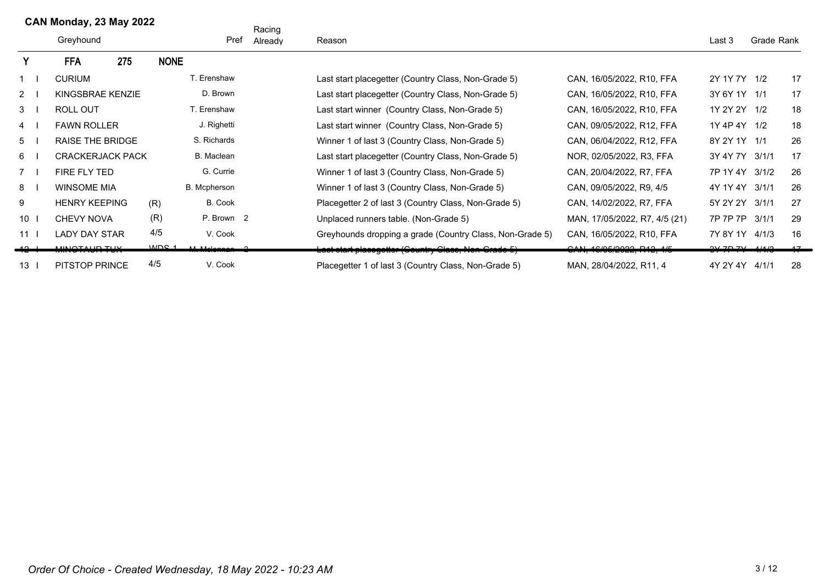|             |                 | CAN Monday, 23 May 2022 |     |                  |                    | Racing  |                                                          |                               |                 |            |    |
|-------------|-----------------|-------------------------|-----|------------------|--------------------|---------|----------------------------------------------------------|-------------------------------|-----------------|------------|----|
|             |                 | Greyhound               |     |                  | Pref               | Already | Reason                                                   |                               | Last 3          | Grade Rank |    |
|             |                 | <b>FFA</b>              | 275 | <b>NONE</b>      |                    |         |                                                          |                               |                 |            |    |
| $1 \quad$   |                 | <b>CURIUM</b>           |     |                  | <b>F. Erenshaw</b> |         | Last start placegetter (Country Class, Non-Grade 5)      | CAN, 16/05/2022, R10, FFA     | 2Y 1Y 7Y 1/2    |            | 17 |
| $2^{\circ}$ |                 | KINGSBRAE KENZIE        |     |                  | D. Brown           |         | Last start placegetter (Country Class, Non-Grade 5)      | CAN, 16/05/2022, R10, FFA     | 3Y 6Y 1Y 1/1    |            | 17 |
| 3           |                 | <b>ROLL OUT</b>         |     |                  | T. Erenshaw        |         | Last start winner (Country Class, Non-Grade 5)           | CAN, 16/05/2022, R10, FFA     | 1Y 2Y 2Y 1/2    |            | 18 |
| 4           |                 | <b>FAWN ROLLER</b>      |     |                  | J. Righetti        |         | Last start winner (Country Class, Non-Grade 5)           | CAN, 09/05/2022, R12, FFA     | 1Y 4P 4Y 1/2    |            | 18 |
| 5           |                 | RAISE THE BRIDGE        |     |                  | S. Richards        |         | Winner 1 of last 3 (Country Class, Non-Grade 5)          | CAN, 06/04/2022, R12, FFA     | 8Y 2Y 1Y 1/1    |            | 26 |
| 6           |                 | <b>CRACKERJACK PACK</b> |     |                  | B. Maclean         |         | Last start placegetter (Country Class, Non-Grade 5)      | NOR, 02/05/2022, R3, FFA      | 3Y 4Y 7Y 3/1/1  |            | 17 |
| $7^{\circ}$ |                 | FIRE FLY TED            |     |                  | G. Currie          |         | Winner 1 of last 3 (Country Class, Non-Grade 5)          | CAN, 20/04/2022, R7, FFA      | 7P 1Y 4Y 3/1/2  |            | 26 |
| 8           |                 | <b>WINSOME MIA</b>      |     |                  | B. Mcpherson       |         | Winner 1 of last 3 (Country Class, Non-Grade 5)          | CAN, 09/05/2022, R9, 4/5      | 4Y 1Y 4Y 3/1/1  |            | 26 |
| 9           |                 | <b>HENRY KEEPING</b>    |     | (R)              | B. Cook            |         | Placegetter 2 of last 3 (Country Class, Non-Grade 5)     | CAN, 14/02/2022, R7, FFA      | 5Y 2Y 2Y        | 3/1/1      | 27 |
| 10          |                 | <b>CHEVY NOVA</b>       |     | (R)              | P. Brown 2         |         | Unplaced runners table. (Non-Grade 5)                    | MAN, 17/05/2022, R7, 4/5 (21) | 7P 7P 7P 3/1/1  |            | 29 |
|             | 11 <sup>1</sup> | <b>LADY DAY STAR</b>    |     | 4/5              | V. Cook            |         | Greyhounds dropping a grade (Country Class, Non-Grade 5) | CAN, 16/05/2022, R10, FFA     | 7Y 8Y 1Y 4/1/3  |            | 16 |
|             |                 | <u>MINATALID TIJV</u>   |     | MDC <sub>1</sub> | AA AAstassas       |         | Last start placegetter (Gountry Class, Non-Grade 5)      | ACIOFICOOO DAO AF             | $217771$ $1110$ |            |    |
|             | 13 <sup>1</sup> | <b>PITSTOP PRINCE</b>   |     | 4/5              | V. Cook            |         | Placegetter 1 of last 3 (Country Class, Non-Grade 5)     | MAN, 28/04/2022, R11, 4       | 4Y 2Y 4Y        | 4/1/1      | 28 |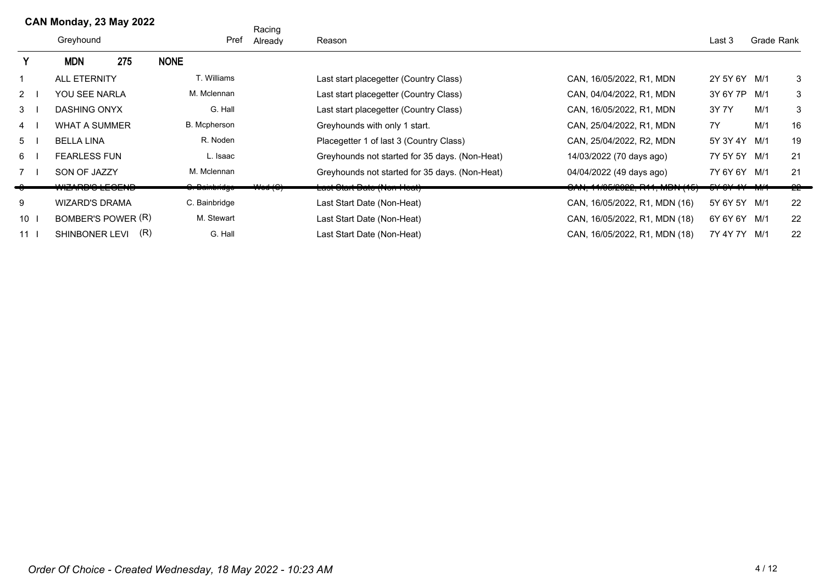|                 | CAN Monday, 23 May 2022 |                            |     |                |      | Racing      |                                                |                                           |                    |            |    |
|-----------------|-------------------------|----------------------------|-----|----------------|------|-------------|------------------------------------------------|-------------------------------------------|--------------------|------------|----|
|                 |                         | Greyhound                  |     |                | Pref | Already     | Reason                                         |                                           | Last 3             | Grade Rank |    |
| Υ               |                         | <b>MDN</b>                 | 275 | <b>NONE</b>    |      |             |                                                |                                           |                    |            |    |
|                 |                         | <b>ALL ETERNITY</b>        |     | T. Williams    |      |             | Last start placegetter (Country Class)         | CAN, 16/05/2022, R1, MDN                  | 2Y 5Y 6Y M/1       |            | 3  |
| $2 \mid$        |                         | YOU SEE NARLA              |     | M. Mclennan    |      |             | Last start placegetter (Country Class)         | CAN, 04/04/2022, R1, MDN                  | 3Y 6Y 7P           | M/1        | 3  |
| 3               |                         | <b>DASHING ONYX</b>        |     | G. Hall        |      |             | Last start placegetter (Country Class)         | CAN, 16/05/2022, R1, MDN                  | 3Y 7Y              | M/1        | 3  |
| $\overline{4}$  |                         | <b>WHAT A SUMMER</b>       |     | B. Mcpherson   |      |             | Greyhounds with only 1 start.                  | CAN, 25/04/2022, R1, MDN                  | 7Y                 | M/1        | 16 |
| 5               |                         | <b>BELLA LINA</b>          |     | R. Noden       |      |             | Placegetter 1 of last 3 (Country Class)        | CAN, 25/04/2022, R2, MDN                  | 5Y 3Y 4Y M/1       |            | 19 |
| 6               |                         | <b>FEARLESS FUN</b>        |     | L. Isaac       |      |             | Greyhounds not started for 35 days. (Non-Heat) | 14/03/2022 (70 days ago)                  | 7Y 5Y 5Y M/1       |            | 21 |
| 7 <sub>1</sub>  |                         | SON OF JAZZY               |     | M. Mclennan    |      |             | Greyhounds not started for 35 days. (Non-Heat) | 04/04/2022 (49 days ago)                  | 7Y 6Y 6Y M/1       |            | 21 |
|                 |                         | <del>MCARD V LLVLIND</del> |     |                |      | $111 - 101$ | <u> Last Utant Datu (NUITTIUAL)</u>            | (טון דורוח, דורו, אבט <i>בעטר</i> וז, דור | <del>,,,,,,,</del> |            | ΣE |
| 9               |                         | <b>WIZARD'S DRAMA</b>      |     | C. Bainbridge  |      |             | Last Start Date (Non-Heat)                     | CAN, 16/05/2022, R1, MDN (16)             | 5Y 6Y 5Y M/1       |            | 22 |
| $10$            |                         | BOMBER'S POWER (R)         |     | M. Stewart     |      |             | Last Start Date (Non-Heat)                     | CAN, 16/05/2022, R1, MDN (18)             | 6Y 6Y 6Y M/1       |            | 22 |
| 11 <sub>1</sub> |                         | <b>SHINBONER LEVI</b>      |     | (R)<br>G. Hall |      |             | Last Start Date (Non-Heat)                     | CAN, 16/05/2022, R1, MDN (18)             | 7Y 4Y 7Y M/1       |            | 22 |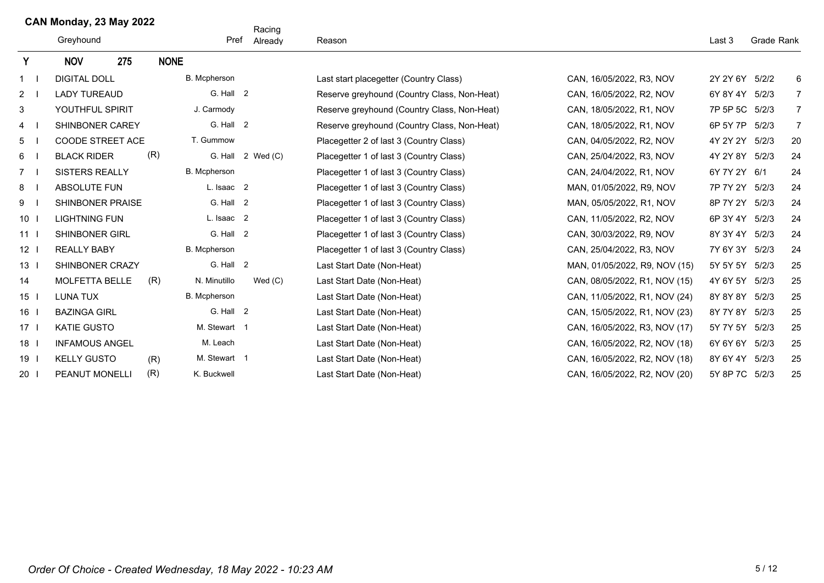## **CAN Monday, 23 May 2022**

|                 | GAN MONDAY, 23 May 2022<br>Greyhound<br>275<br><b>NOV</b> |                         |             | Pref         | Racing<br>Already | Reason                                      |                               | Last 3         | Grade Rank |                |
|-----------------|-----------------------------------------------------------|-------------------------|-------------|--------------|-------------------|---------------------------------------------|-------------------------------|----------------|------------|----------------|
| Y               |                                                           |                         | <b>NONE</b> |              |                   |                                             |                               |                |            |                |
| $1 \quad$       | <b>DIGITAL DOLL</b>                                       |                         |             | B. Mcpherson |                   | Last start placegetter (Country Class)      | CAN, 16/05/2022, R3, NOV      | 2Y 2Y 6Y 5/2/2 |            | 6              |
| $2 \quad 1$     | <b>LADY TUREAUD</b>                                       |                         |             | G. Hall 2    |                   | Reserve greyhound (Country Class, Non-Heat) | CAN, 16/05/2022, R2, NOV      | 6Y 8Y 4Y 5/2/3 |            | $\overline{7}$ |
| 3               |                                                           | YOUTHFUL SPIRIT         |             | J. Carmody   |                   | Reserve greyhound (Country Class, Non-Heat) | CAN, 18/05/2022, R1, NOV      | 7P 5P 5C       | 5/2/3      | $\overline{7}$ |
| 4               |                                                           | SHINBONER CAREY         |             | G. Hall 2    |                   | Reserve greyhound (Country Class, Non-Heat) | CAN, 18/05/2022, R1, NOV      | 6P 5Y 7P       | 5/2/3      | $\overline{7}$ |
| 5               |                                                           | <b>COODE STREET ACE</b> |             | T. Gummow    |                   | Placegetter 2 of last 3 (Country Class)     | CAN, 04/05/2022, R2, NOV      | 4Y 2Y 2Y       | 5/2/3      | 20             |
| 6               | <b>BLACK RIDER</b>                                        |                         | (R)         | G. Hall      | 2 Wed (C)         | Placegetter 1 of last 3 (Country Class)     | CAN, 25/04/2022, R3, NOV      | 4Y 2Y 8Y 5/2/3 |            | 24             |
| $7^{\circ}$     | <b>SISTERS REALLY</b>                                     |                         |             | B. Mcpherson |                   | Placegetter 1 of last 3 (Country Class)     | CAN, 24/04/2022, R1, NOV      | 6Y 7Y 2Y 6/1   |            | 24             |
| 8               | ABSOLUTE FUN                                              |                         |             | L. Isaac 2   |                   | Placegetter 1 of last 3 (Country Class)     | MAN, 01/05/2022, R9, NOV      | 7P 7Y 2Y 5/2/3 |            | 24             |
| 9               |                                                           | SHINBONER PRAISE        |             | G. Hall 2    |                   | Placegetter 1 of last 3 (Country Class)     | MAN, 05/05/2022, R1, NOV      | 8P 7Y 2Y       | 5/2/3      | 24             |
| $10$            | <b>LIGHTNING FUN</b>                                      |                         |             | L. Isaac 2   |                   | Placegetter 1 of last 3 (Country Class)     | CAN, 11/05/2022, R2, NOV      | 6P 3Y 4Y 5/2/3 |            | 24             |
| 11              | <b>SHINBONER GIRL</b>                                     |                         |             | G. Hall 2    |                   | Placegetter 1 of last 3 (Country Class)     | CAN, 30/03/2022, R9, NOV      | 8Y 3Y 4Y 5/2/3 |            | 24             |
| $12$            | <b>REALLY BABY</b>                                        |                         |             | B. Mcpherson |                   | Placegetter 1 of last 3 (Country Class)     | CAN, 25/04/2022, R3, NOV      | 7Y 6Y 3Y 5/2/3 |            | 24             |
| 13 <sup>1</sup> |                                                           | SHINBONER CRAZY         |             | G. Hall 2    |                   | Last Start Date (Non-Heat)                  | MAN, 01/05/2022, R9, NOV (15) | 5Y 5Y 5Y 5/2/3 |            | 25             |
| 14              | <b>MOLFETTA BELLE</b>                                     |                         | (R)         | N. Minutillo | Wed $(C)$         | Last Start Date (Non-Heat)                  | CAN, 08/05/2022, R1, NOV (15) | 4Y 6Y 5Y 5/2/3 |            | 25             |
| $15$            | <b>LUNA TUX</b>                                           |                         |             | B. Mcpherson |                   | Last Start Date (Non-Heat)                  | CAN, 11/05/2022, R1, NOV (24) | 8Y 8Y 8Y 5/2/3 |            | 25             |
| 16              | <b>BAZINGA GIRL</b>                                       |                         |             | G. Hall 2    |                   | Last Start Date (Non-Heat)                  | CAN, 15/05/2022, R1, NOV (23) | 8Y 7Y 8Y 5/2/3 |            | 25             |
| $17-1$          | <b>KATIE GUSTO</b>                                        |                         |             | M. Stewart 1 |                   | Last Start Date (Non-Heat)                  | CAN, 16/05/2022, R3, NOV (17) | 5Y 7Y 5Y       | 5/2/3      | 25             |
| 18 <sup>1</sup> |                                                           | <b>INFAMOUS ANGEL</b>   |             | M. Leach     |                   | Last Start Date (Non-Heat)                  | CAN, 16/05/2022, R2, NOV (18) | 6Y 6Y 6Y 5/2/3 |            | 25             |
| $19$            | <b>KELLY GUSTO</b>                                        |                         | (R)         | M. Stewart 1 |                   | Last Start Date (Non-Heat)                  | CAN, 16/05/2022, R2, NOV (18) | 8Y 6Y 4Y 5/2/3 |            | 25             |
| 20 <sub>1</sub> | PEANUT MONELLI                                            |                         | (R)         | K. Buckwell  |                   | Last Start Date (Non-Heat)                  | CAN, 16/05/2022, R2, NOV (20) | 5Y 8P 7C 5/2/3 |            | 25             |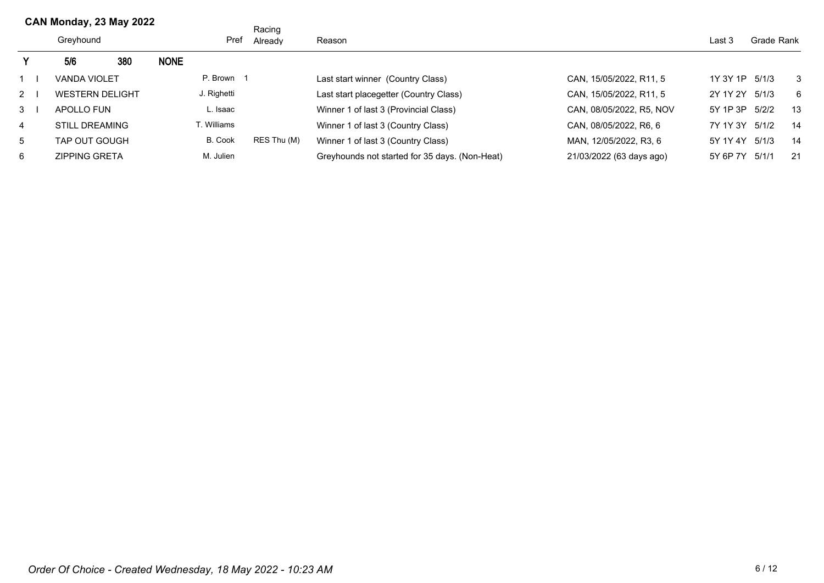|          | CAN MONDAY, 23 May 2022 |                        |     |             |             | Racing      |                                                |                          |          |             |     |
|----------|-------------------------|------------------------|-----|-------------|-------------|-------------|------------------------------------------------|--------------------------|----------|-------------|-----|
|          |                         | Greyhound              |     |             | Pref        | Already     | Reason                                         |                          | Last 3   | Grade Rank  |     |
|          |                         | 5/6                    | 380 | <b>NONE</b> |             |             |                                                |                          |          |             |     |
|          |                         | <b>VANDA VIOLET</b>    |     |             | P. Brown 1  |             | Last start winner (Country Class)              | CAN, 15/05/2022, R11, 5  | 1Y 3Y 1P | 5/1/3       | -3  |
| $2 \mid$ |                         | <b>WESTERN DELIGHT</b> |     |             | J. Righetti |             | Last start placegetter (Country Class)         | CAN, 15/05/2022, R11, 5  | 2Y 1Y 2Y | 5/1/3       | - 6 |
| 3        |                         | APOLLO FUN             |     |             | ∟. Isaac    |             | Winner 1 of last 3 (Provincial Class)          | CAN, 08/05/2022, R5, NOV | 5Y 1P 3P | 5/2/2<br>13 |     |
| 4        |                         | <b>STILL DREAMING</b>  |     |             | T. Williams |             | Winner 1 of last 3 (Country Class)             | CAN, 08/05/2022, R6, 6   | 7Y 1Y 3Y | 5/1/2       | 14  |
| 5        |                         | TAP OUT GOUGH          |     |             | B. Cook     | RES Thu (M) | Winner 1 of last 3 (Country Class)             | MAN, 12/05/2022, R3, 6   | 5Y 1Y 4Y | 5/1/3       | 14  |
| 6        |                         | <b>ZIPPING GRETA</b>   |     |             | M. Julien   |             | Greyhounds not started for 35 days. (Non-Heat) | 21/03/2022 (63 days ago) | 5Y 6P 7Y | 5/1/1       | 21  |

**CAN Monday, 23 May 2022**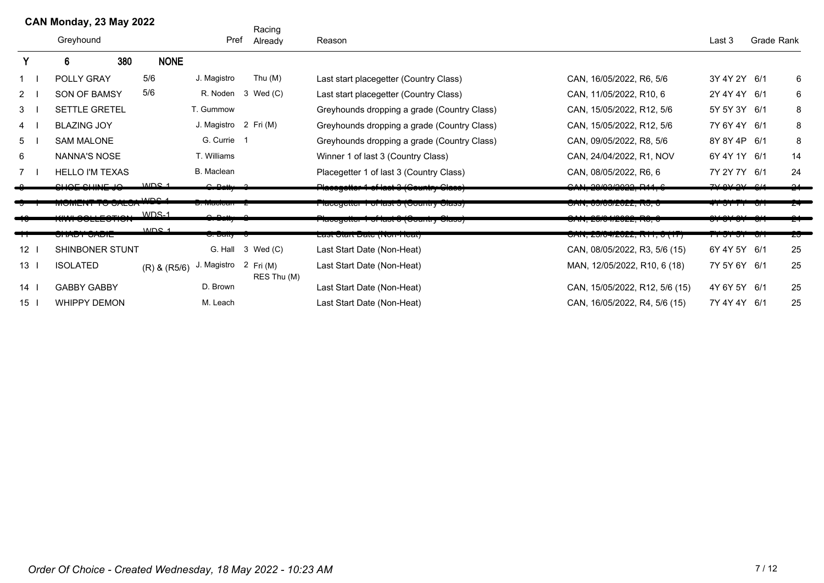|                 | CAN Monday, 23 May 2022            |                  |                       | Racing                   |                                                 |                                                                |                           |            |    |
|-----------------|------------------------------------|------------------|-----------------------|--------------------------|-------------------------------------------------|----------------------------------------------------------------|---------------------------|------------|----|
|                 | Greyhound                          |                  | Pref                  | Already                  | Reason                                          |                                                                | Last 3                    | Grade Rank |    |
|                 | 380<br>6                           | <b>NONE</b>      |                       |                          |                                                 |                                                                |                           |            |    |
| 1               | POLLY GRAY                         | 5/6              | J. Magistro           | Thu (M)                  | Last start placegetter (Country Class)          | CAN, 16/05/2022, R6, 5/6                                       | 3Y 4Y 2Y 6/1              |            | 6  |
| $2^{\circ}$     | <b>SON OF BAMSY</b>                | 5/6              |                       | R. Noden 3 Wed (C)       | Last start placegetter (Country Class)          | CAN, 11/05/2022, R10, 6                                        | 2Y 4Y 4Y 6/1              |            | 6  |
| 3               | SETTLE GRETEL                      |                  | T. Gummow             |                          | Greyhounds dropping a grade (Country Class)     | CAN, 15/05/2022, R12, 5/6                                      | 5Y 5Y 3Y 6/1              |            | 8  |
| $\overline{4}$  | <b>BLAZING JOY</b>                 |                  | J. Magistro 2 Fri (M) |                          | Greyhounds dropping a grade (Country Class)     | CAN, 15/05/2022, R12, 5/6                                      | 7Y 6Y 4Y 6/1              |            | 8  |
| 5               | <b>SAM MALONE</b>                  |                  | G. Currie 1           |                          | Greyhounds dropping a grade (Country Class)     | CAN, 09/05/2022, R8, 5/6                                       | 8Y 8Y 4P 6/1              |            | 8  |
| 6               | <b>NANNA'S NOSE</b>                |                  | T. Williams           |                          | Winner 1 of last 3 (Country Class)              | CAN, 24/04/2022, R1, NOV                                       | 6Y 4Y 1Y 6/1              |            | 14 |
| 7               | <b>HELLO I'M TEXAS</b>             |                  | B. Maclean            |                          | Placegetter 1 of last 3 (Country Class)         | CAN, 08/05/2022, R6, 6                                         | 7Y 2Y 7Y 6/1              |            | 24 |
|                 | $\sim$ $\sim$ $\sim$ $\sim$ $\sim$ | MDC <sub>4</sub> | $C$ Datty 2           |                          | <b>Hacegotter 1 of last 8 (Gountry Glass)</b>   | $\sim$ $\sim$ $\sim$ $\sim$ $\sim$ $\sim$ $\sim$<br>. <i>.</i> | $710101 - 014$            |            |    |
|                 | <i>זט</i> בואט טו דוודוווטווי      | $MDC$ 4          | <del>o. macican</del> |                          | <u> Γιαυσγοιιση την παριπληθυσιαι γιαιτορισ</u> | <u>טרווא, טאוטאפט גערו</u>                                     | <del>पा</del> उाता छन     |            |    |
|                 | 11112221172716<br>NW VOLL-VIIVI    | WDS-1            | $\sim$ $\sim$ $\mu$   |                          | ι ιασογοιιση η οι ιαδι ο (Oountry Oldso)        | 1111 0510110000 DA<br><del>טרוויז, בשוט זובעבב, וויט, ט</del>  |                           |            |    |
| ᠇               | <del>אוטר<i>ו</i>ס דערווס</del>    | MDC <sub>4</sub> | <del>o. Daiiy</del>   |                          | Lasi Jian Dale (Non-Heal)                       | UAN, <i>ZUIUHIZUZZ</i> , NTT, 0 (TTT                           | <del>71 J1 J1 - 071</del> |            | zσ |
| 12              | SHINBONER STUNT                    |                  | G. Hall               | 3 Wed (C)                | Last Start Date (Non-Heat)                      | CAN, 08/05/2022, R3, 5/6 (15)                                  | 6Y 4Y 5Y 6/1              |            | 25 |
| 13 <sub>l</sub> | <b>ISOLATED</b>                    | $(R)$ & $(R5/6)$ | Magistro              | 2 Fri (M)<br>RES Thu (M) | Last Start Date (Non-Heat)                      | MAN, 12/05/2022, R10, 6 (18)                                   | 7Y 5Y 6Y 6/1              |            | 25 |
| 14              | <b>GABBY GABBY</b>                 |                  | D. Brown              |                          | Last Start Date (Non-Heat)                      | CAN, 15/05/2022, R12, 5/6 (15)                                 | 4Y 6Y 5Y 6/1              |            | 25 |
| 15              | WHIPPY DEMON                       |                  | M. Leach              |                          | Last Start Date (Non-Heat)                      | CAN, 16/05/2022, R4, 5/6 (15)                                  | 7Y 4Y 4Y 6/1              |            | 25 |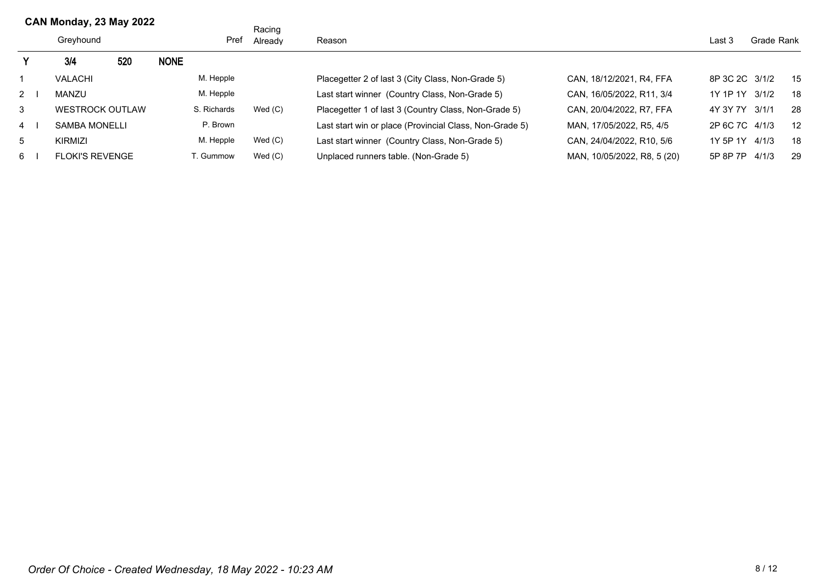|                | CAN Monday, 23 May 2022 |     |                           |             | Racing    |                                                         |                             |                |       |     |
|----------------|-------------------------|-----|---------------------------|-------------|-----------|---------------------------------------------------------|-----------------------------|----------------|-------|-----|
|                | Greyhound               |     | Pref<br>Reason<br>Already |             |           |                                                         | Last 3                      | Grade Rank     |       |     |
|                | 3/4                     | 520 | <b>NONE</b>               |             |           |                                                         |                             |                |       |     |
|                | <b>VALACHI</b>          |     |                           | M. Hepple   |           | Placegetter 2 of last 3 (City Class, Non-Grade 5)       | CAN, 18/12/2021, R4, FFA    | 8P 3C 2C 3/1/2 |       | 15  |
| $2 \quad$      | <b>MANZU</b>            |     |                           | M. Hepple   |           | Last start winner (Country Class, Non-Grade 5)          | CAN, 16/05/2022, R11, 3/4   | 1Y 1P 1Y 3/1/2 |       | 18  |
| 3              | <b>WESTROCK OUTLAW</b>  |     |                           | S. Richards | Wed(C)    | Placegetter 1 of last 3 (Country Class, Non-Grade 5)    | CAN, 20/04/2022, R7, FFA    | 4Y 3Y 7Y 3/1/1 |       | -28 |
| $\overline{4}$ | SAMBA MONELLI           |     |                           | P. Brown    |           | Last start win or place (Provincial Class, Non-Grade 5) | MAN, 17/05/2022, R5, 4/5    | 2P 6C 7C 4/1/3 |       | 12  |
| 5              | KIRMIZI                 |     |                           | M. Hepple   | Wed(C)    | Last start winner (Country Class, Non-Grade 5)          | CAN. 24/04/2022. R10, 5/6   | 1Y 5P 1Y 4/1/3 |       | 18  |
| 6              | <b>FLOKI'S REVENGE</b>  |     |                           | T. Gummow   | Wed $(C)$ | Unplaced runners table. (Non-Grade 5)                   | MAN, 10/05/2022, R8, 5 (20) | 5P 8P 7P       | 4/1/3 | 29  |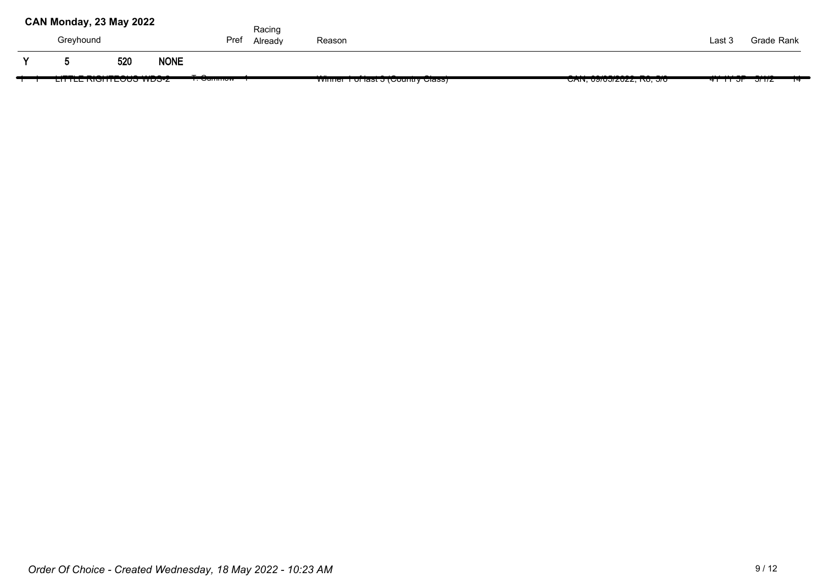|     | CAN Monday, 23 May 2022 |  |                                                                                                                                                                                                                                                                                                                                                  |             |                                       | Racing  |                                                              |                                   |                |                                       |  |
|-----|-------------------------|--|--------------------------------------------------------------------------------------------------------------------------------------------------------------------------------------------------------------------------------------------------------------------------------------------------------------------------------------------------|-------------|---------------------------------------|---------|--------------------------------------------------------------|-----------------------------------|----------------|---------------------------------------|--|
|     | Greyhound               |  |                                                                                                                                                                                                                                                                                                                                                  |             | Pref                                  | Already | Reason                                                       |                                   | Last 3         | Grade Rank                            |  |
| v   |                         |  | 520                                                                                                                                                                                                                                                                                                                                              | <b>NONE</b> |                                       |         |                                                              |                                   |                |                                       |  |
| . . |                         |  | $\frac{1}{2}$ $\frac{1}{2}$ $\frac{1}{2}$ $\frac{1}{2}$ $\frac{1}{2}$ $\frac{1}{2}$ $\frac{1}{2}$ $\frac{1}{2}$ $\frac{1}{2}$ $\frac{1}{2}$ $\frac{1}{2}$ $\frac{1}{2}$ $\frac{1}{2}$ $\frac{1}{2}$ $\frac{1}{2}$ $\frac{1}{2}$ $\frac{1}{2}$ $\frac{1}{2}$ $\frac{1}{2}$ $\frac{1}{2}$ $\frac{1}{2}$ $\frac{1}{2}$<br><u>בהחנב המסחרובטטס 2</u> |             | $\sim$ $\sim$<br><del>1. Ounmow</del> |         | 1.1.1<br>$\cdots$<br><b>VINNEL TUNIQSE J (COUNTLY CRISS)</b> | <u>UAIN, USIUJIZUZZ, INU, JIU</u> | <u> मार्गा</u> | *****************<br><del>או זט</del> |  |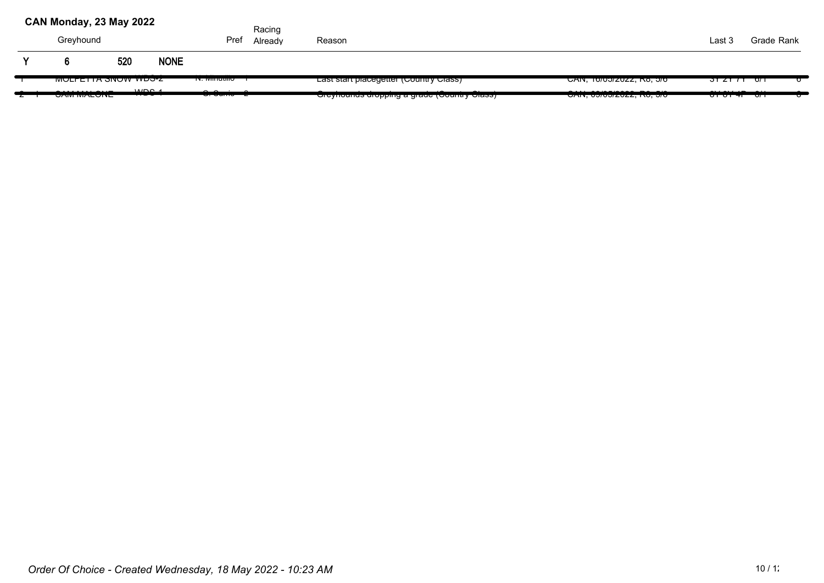| CAN Monday, 23 May 2022          |     |                      |                           | Racing  |                                                        |                                                                          |                                   |                 |   |
|----------------------------------|-----|----------------------|---------------------------|---------|--------------------------------------------------------|--------------------------------------------------------------------------|-----------------------------------|-----------------|---|
| Greyhound                        |     |                      | Pref                      | Already | Reason                                                 |                                                                          | Last 3                            | Grade Rank      |   |
|                                  | 520 | <b>NONE</b>          |                           |         |                                                        |                                                                          |                                   |                 |   |
| <b>WULFETTA SINUW WDS-Z</b>      |     |                      | <u> 14. iviiriuuno – </u> |         | Last start placegetter (Country Class)                 | <u> CAN, TO/U3/ZUZZ, RO, 3/0</u>                                         |                                   | $\sqrt{2}$ ו דס |   |
| ------------<br><b>UNITEDITE</b> |     | MDCA<br><del>.</del> | <del>o.ounic z</del>      |         | <del>Oreynounus uropping a graue (Country Glass)</del> | $\cdots$ $\cdots$ $\cdots$ $\cdots$<br><b>UAIT, USIUJIZUZZ, ITU, JIU</b> | $\cdots$<br><del>010141 0/1</del> |                 | ັ |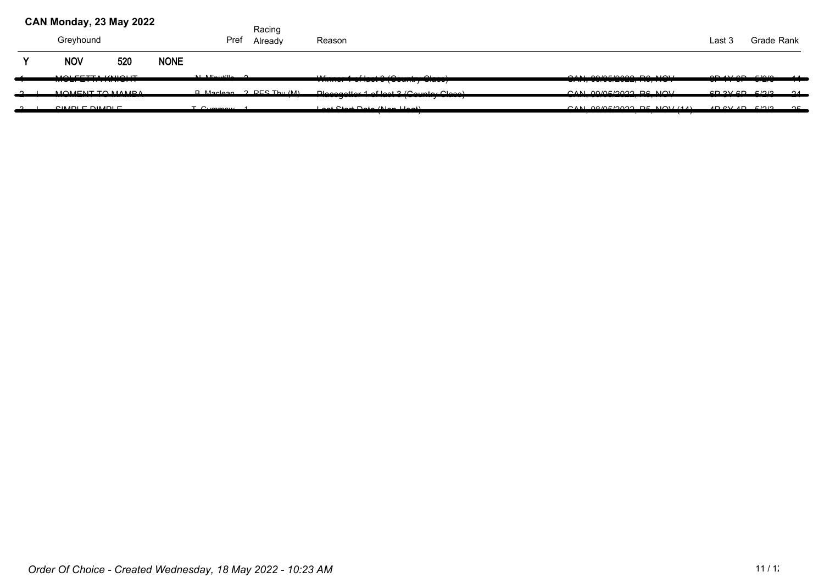| CAN Monday, 23 May 2022 |     |             |                                                                                                                                                                                                                                                                                                                                    | Racing  |                                                                                         |                                          |                       |            |                |
|-------------------------|-----|-------------|------------------------------------------------------------------------------------------------------------------------------------------------------------------------------------------------------------------------------------------------------------------------------------------------------------------------------------|---------|-----------------------------------------------------------------------------------------|------------------------------------------|-----------------------|------------|----------------|
| Greyhound               |     |             | Pref                                                                                                                                                                                                                                                                                                                               | Already | Reason                                                                                  |                                          | Last 3                | Grade Rank |                |
| <b>NOV</b>              | 520 | <b>NONE</b> |                                                                                                                                                                                                                                                                                                                                    |         |                                                                                         |                                          |                       |            |                |
| MOLEETTA IAUOUT         |     |             | $\mathbf{A}$ $\mathbf{A}$ $\mathbf{A}$ $\mathbf{A}$ $\mathbf{A}$ $\mathbf{A}$ $\mathbf{A}$ $\mathbf{A}$ $\mathbf{A}$ $\mathbf{A}$ $\mathbf{A}$ $\mathbf{A}$ $\mathbf{A}$ $\mathbf{A}$ $\mathbf{A}$ $\mathbf{A}$ $\mathbf{A}$ $\mathbf{A}$ $\mathbf{A}$ $\mathbf{A}$ $\mathbf{A}$ $\mathbf{A}$ $\mathbf{A}$ $\mathbf{A}$ $\mathbf{$ |         | $M_2$ $\sim$ 4 of last $2(D_2)$ $\sim$<br><del>winner + or lact o (ocantry oldeo)</del> | $OMI$ $OMI$ $OMI$<br>$V''''''$ , $V''''$ | $AD$ $AV$ $CD$ $F/2D$ |            | $\overline{A}$ |
| MOMENITIO MAMOA         |     |             | D Mooloon 2 DEC Thu (M)                                                                                                                                                                                                                                                                                                            |         | Dloegeatter 1 of leat 2 (Country Close)                                                 | $CAN$ $O(ME/2022)$ De NIOV               | CD 2V CD E/2P         |            | ___            |
| $C[11]$ DI E DIMDI E    |     |             | $T_{\text{CUMMONM}}$                                                                                                                                                                                                                                                                                                               |         | Loot Ctart Data (Nan Hoot)<br>-- <del>-------------------</del>                         | $OMI$ 00/05/0000 DE NOV (44)             | $AD$ $CVAD$ $E/2P$    |            | $\Omega$       |